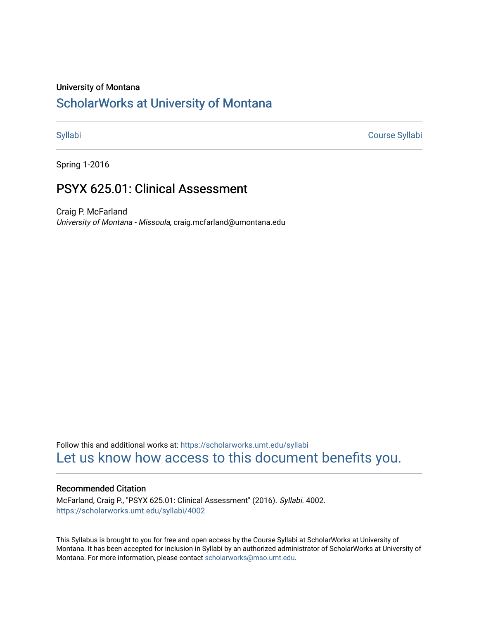#### University of Montana

# [ScholarWorks at University of Montana](https://scholarworks.umt.edu/)

[Syllabi](https://scholarworks.umt.edu/syllabi) [Course Syllabi](https://scholarworks.umt.edu/course_syllabi) 

Spring 1-2016

# PSYX 625.01: Clinical Assessment

Craig P. McFarland University of Montana - Missoula, craig.mcfarland@umontana.edu

Follow this and additional works at: [https://scholarworks.umt.edu/syllabi](https://scholarworks.umt.edu/syllabi?utm_source=scholarworks.umt.edu%2Fsyllabi%2F4002&utm_medium=PDF&utm_campaign=PDFCoverPages)  [Let us know how access to this document benefits you.](https://goo.gl/forms/s2rGfXOLzz71qgsB2) 

#### Recommended Citation

McFarland, Craig P., "PSYX 625.01: Clinical Assessment" (2016). Syllabi. 4002. [https://scholarworks.umt.edu/syllabi/4002](https://scholarworks.umt.edu/syllabi/4002?utm_source=scholarworks.umt.edu%2Fsyllabi%2F4002&utm_medium=PDF&utm_campaign=PDFCoverPages)

This Syllabus is brought to you for free and open access by the Course Syllabi at ScholarWorks at University of Montana. It has been accepted for inclusion in Syllabi by an authorized administrator of ScholarWorks at University of Montana. For more information, please contact [scholarworks@mso.umt.edu.](mailto:scholarworks@mso.umt.edu)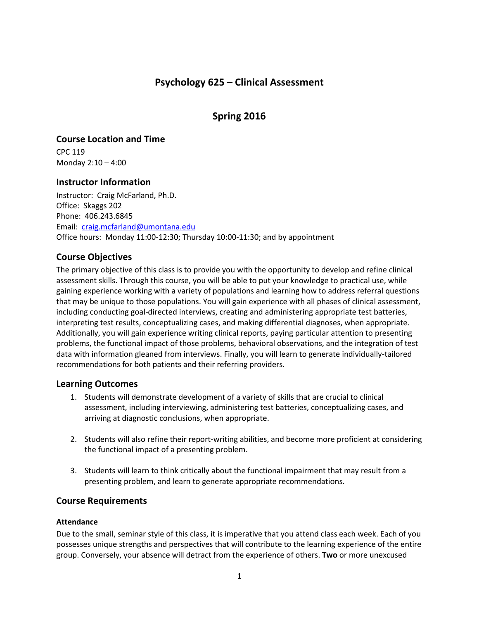# **Psychology 625 – Clinical Assessment**

# **Spring 2016**

# **Course Location and Time**

CPC 119 Monday 2:10 – 4:00

# **Instructor Information**

Instructor: Craig McFarland, Ph.D. Office: Skaggs 202 Phone: 406.243.6845 Email: [craig.mcfarland@umontana.edu](mailto:craig.mcfarland@umontana.edu) Office hours: Monday 11:00-12:30; Thursday 10:00-11:30; and by appointment

# **Course Objectives**

The primary objective of this class is to provide you with the opportunity to develop and refine clinical assessment skills. Through this course, you will be able to put your knowledge to practical use, while gaining experience working with a variety of populations and learning how to address referral questions that may be unique to those populations. You will gain experience with all phases of clinical assessment, including conducting goal-directed interviews, creating and administering appropriate test batteries, interpreting test results, conceptualizing cases, and making differential diagnoses, when appropriate. Additionally, you will gain experience writing clinical reports, paying particular attention to presenting problems, the functional impact of those problems, behavioral observations, and the integration of test data with information gleaned from interviews. Finally, you will learn to generate individually-tailored recommendations for both patients and their referring providers.

# **Learning Outcomes**

- 1. Students will demonstrate development of a variety of skills that are crucial to clinical assessment, including interviewing, administering test batteries, conceptualizing cases, and arriving at diagnostic conclusions, when appropriate.
- 2. Students will also refine their report-writing abilities, and become more proficient at considering the functional impact of a presenting problem.
- 3. Students will learn to think critically about the functional impairment that may result from a presenting problem, and learn to generate appropriate recommendations.

# **Course Requirements**

#### **Attendance**

Due to the small, seminar style of this class, it is imperative that you attend class each week. Each of you possesses unique strengths and perspectives that will contribute to the learning experience of the entire group. Conversely, your absence will detract from the experience of others. **Two** or more unexcused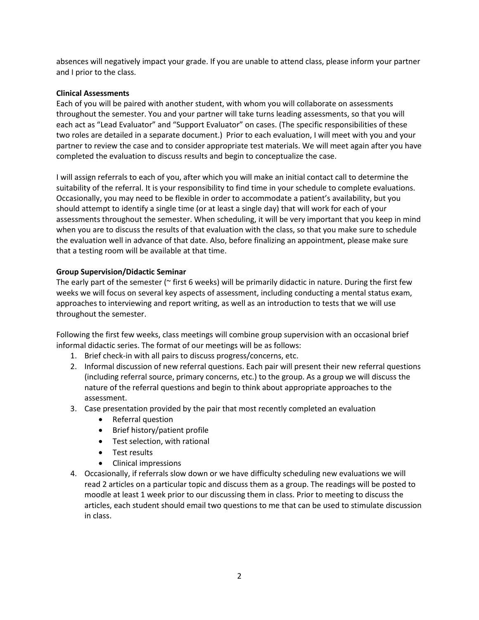absences will negatively impact your grade. If you are unable to attend class, please inform your partner and I prior to the class.

#### **Clinical Assessments**

Each of you will be paired with another student, with whom you will collaborate on assessments throughout the semester. You and your partner will take turns leading assessments, so that you will each act as "Lead Evaluator" and "Support Evaluator" on cases. (The specific responsibilities of these two roles are detailed in a separate document.) Prior to each evaluation, I will meet with you and your partner to review the case and to consider appropriate test materials. We will meet again after you have completed the evaluation to discuss results and begin to conceptualize the case.

I will assign referrals to each of you, after which you will make an initial contact call to determine the suitability of the referral. It is your responsibility to find time in your schedule to complete evaluations. Occasionally, you may need to be flexible in order to accommodate a patient's availability, but you should attempt to identify a single time (or at least a single day) that will work for each of your assessments throughout the semester. When scheduling, it will be very important that you keep in mind when you are to discuss the results of that evaluation with the class, so that you make sure to schedule the evaluation well in advance of that date. Also, before finalizing an appointment, please make sure that a testing room will be available at that time.

#### **Group Supervision/Didactic Seminar**

The early part of the semester ( $\sim$  first 6 weeks) will be primarily didactic in nature. During the first few weeks we will focus on several key aspects of assessment, including conducting a mental status exam, approaches to interviewing and report writing, as well as an introduction to tests that we will use throughout the semester.

Following the first few weeks, class meetings will combine group supervision with an occasional brief informal didactic series. The format of our meetings will be as follows:

- 1. Brief check-in with all pairs to discuss progress/concerns, etc.
- 2. Informal discussion of new referral questions. Each pair will present their new referral questions (including referral source, primary concerns, etc.) to the group. As a group we will discuss the nature of the referral questions and begin to think about appropriate approaches to the assessment.
- 3. Case presentation provided by the pair that most recently completed an evaluation
	- Referral question
	- Brief history/patient profile
	- Test selection, with rational
	- Test results
	- Clinical impressions
- 4. Occasionally, if referrals slow down or we have difficulty scheduling new evaluations we will read 2 articles on a particular topic and discuss them as a group. The readings will be posted to moodle at least 1 week prior to our discussing them in class. Prior to meeting to discuss the articles, each student should email two questions to me that can be used to stimulate discussion in class.